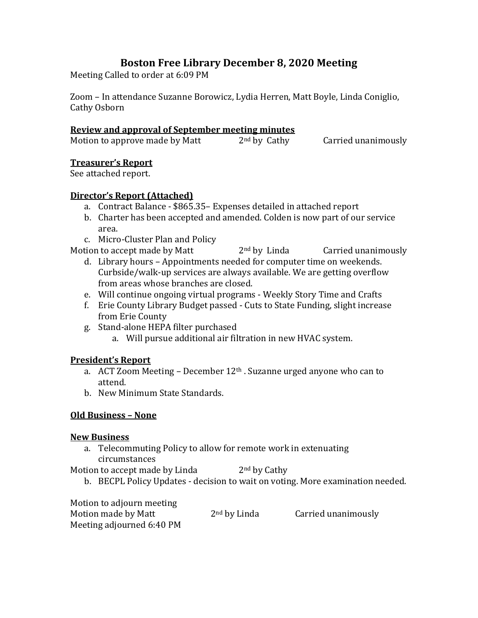# **Boston Free Library December 8, 2020 Meeting**

Meeting Called to order at 6:09 PM

Zoom – In attendance Suzanne Borowicz, Lydia Herren, Matt Boyle, Linda Coniglio, Cathy Osborn

#### **Review and approval of September meeting minutes**

| Motion to approve made by Matt | $2nd$ by Cathy | Carried unanimously |
|--------------------------------|----------------|---------------------|

## **Treasurer's Report**

See attached report.

## **Director's Report (Attached)**

- a. Contract Balance \$865.35– Expenses detailed in attached report
- b. Charter has been accepted and amended. Colden is now part of our service area.
- c. Micro-Cluster Plan and Policy

Motion to accept made by Matt  $2<sup>nd</sup>$  by Linda Carried unanimously

- d. Library hours Appointments needed for computer time on weekends. Curbside/walk-up services are always available. We are getting overflow from areas whose branches are closed.
- e. Will continue ongoing virtual programs Weekly Story Time and Crafts
- f. Erie County Library Budget passed Cuts to State Funding, slight increase from Erie County
- g. Stand-alone HEPA filter purchased
	- a. Will pursue additional air filtration in new HVAC system.

## **President's Report**

- a. ACT Zoom Meeting December  $12<sup>th</sup>$ . Suzanne urged anyone who can to attend.
- b. New Minimum State Standards.

## **Old Business – None**

#### **New Business**

a. Telecommuting Policy to allow for remote work in extenuating circumstances

Motion to accept made by Linda  $2<sup>nd</sup>$  by Cathy

b. BECPL Policy Updates - decision to wait on voting. More examination needed.

Motion to adjourn meeting Motion made by Matt  $2<sup>nd</sup>$  by Linda Carried unanimously Meeting adjourned 6:40 PM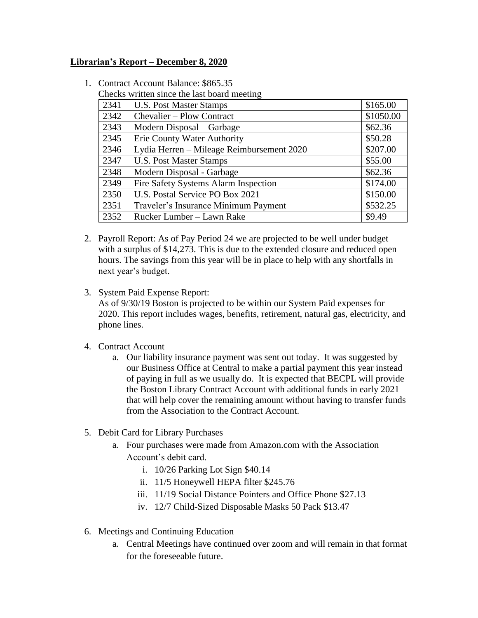#### **Librarian's Report – December 8, 2020**

|      | Checks written since the last board meeting |           |
|------|---------------------------------------------|-----------|
| 2341 | <b>U.S. Post Master Stamps</b>              | \$165.00  |
| 2342 | Chevalier – Plow Contract                   | \$1050.00 |
| 2343 | Modern Disposal – Garbage                   | \$62.36   |
| 2345 | <b>Erie County Water Authority</b>          | \$50.28   |
| 2346 | Lydia Herren – Mileage Reimbursement 2020   | \$207.00  |
| 2347 | <b>U.S. Post Master Stamps</b>              | \$55.00   |
| 2348 | Modern Disposal - Garbage                   | \$62.36   |
| 2349 | Fire Safety Systems Alarm Inspection        | \$174.00  |
| 2350 | U.S. Postal Service PO Box 2021             | \$150.00  |
| 2351 | Traveler's Insurance Minimum Payment        | \$532.25  |
| 2352 | Rucker Lumber - Lawn Rake                   | \$9.49    |

1. Contract Account Balance: \$865.35

- 2. Payroll Report: As of Pay Period 24 we are projected to be well under budget with a surplus of \$14,273. This is due to the extended closure and reduced open hours. The savings from this year will be in place to help with any shortfalls in next year's budget.
- 3. System Paid Expense Report: As of 9/30/19 Boston is projected to be within our System Paid expenses for 2020. This report includes wages, benefits, retirement, natural gas, electricity, and phone lines.
- 4. Contract Account
	- a. Our liability insurance payment was sent out today. It was suggested by our Business Office at Central to make a partial payment this year instead of paying in full as we usually do. It is expected that BECPL will provide the Boston Library Contract Account with additional funds in early 2021 that will help cover the remaining amount without having to transfer funds from the Association to the Contract Account.
- 5. Debit Card for Library Purchases
	- a. Four purchases were made from Amazon.com with the Association Account's debit card.
		- i. 10/26 Parking Lot Sign \$40.14
		- ii. 11/5 Honeywell HEPA filter \$245.76
		- iii. 11/19 Social Distance Pointers and Office Phone \$27.13
		- iv. 12/7 Child-Sized Disposable Masks 50 Pack \$13.47
- 6. Meetings and Continuing Education
	- a. Central Meetings have continued over zoom and will remain in that format for the foreseeable future.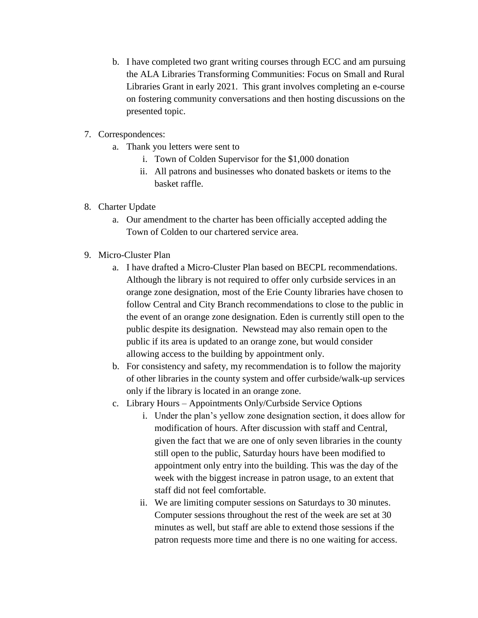- b. I have completed two grant writing courses through ECC and am pursuing the ALA Libraries Transforming Communities: Focus on Small and Rural Libraries Grant in early 2021. This grant involves completing an e-course on fostering community conversations and then hosting discussions on the presented topic.
- 7. Correspondences:
	- a. Thank you letters were sent to
		- i. Town of Colden Supervisor for the \$1,000 donation
		- ii. All patrons and businesses who donated baskets or items to the basket raffle.
- 8. Charter Update
	- a. Our amendment to the charter has been officially accepted adding the Town of Colden to our chartered service area.
- 9. Micro-Cluster Plan
	- a. I have drafted a Micro-Cluster Plan based on BECPL recommendations. Although the library is not required to offer only curbside services in an orange zone designation, most of the Erie County libraries have chosen to follow Central and City Branch recommendations to close to the public in the event of an orange zone designation. Eden is currently still open to the public despite its designation. Newstead may also remain open to the public if its area is updated to an orange zone, but would consider allowing access to the building by appointment only.
	- b. For consistency and safety, my recommendation is to follow the majority of other libraries in the county system and offer curbside/walk-up services only if the library is located in an orange zone.
	- c. Library Hours Appointments Only/Curbside Service Options
		- i. Under the plan's yellow zone designation section, it does allow for modification of hours. After discussion with staff and Central, given the fact that we are one of only seven libraries in the county still open to the public, Saturday hours have been modified to appointment only entry into the building. This was the day of the week with the biggest increase in patron usage, to an extent that staff did not feel comfortable.
		- ii. We are limiting computer sessions on Saturdays to 30 minutes. Computer sessions throughout the rest of the week are set at 30 minutes as well, but staff are able to extend those sessions if the patron requests more time and there is no one waiting for access.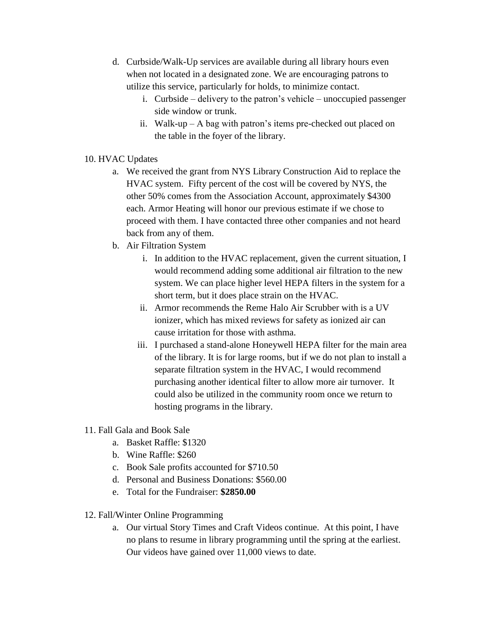- d. Curbside/Walk-Up services are available during all library hours even when not located in a designated zone. We are encouraging patrons to utilize this service, particularly for holds, to minimize contact.
	- i. Curbside delivery to the patron's vehicle unoccupied passenger side window or trunk.
	- ii. Walk-up A bag with patron's items pre-checked out placed on the table in the foyer of the library.
- 10. HVAC Updates
	- a. We received the grant from NYS Library Construction Aid to replace the HVAC system. Fifty percent of the cost will be covered by NYS, the other 50% comes from the Association Account, approximately \$4300 each. Armor Heating will honor our previous estimate if we chose to proceed with them. I have contacted three other companies and not heard back from any of them.
	- b. Air Filtration System
		- i. In addition to the HVAC replacement, given the current situation, I would recommend adding some additional air filtration to the new system. We can place higher level HEPA filters in the system for a short term, but it does place strain on the HVAC.
		- ii. Armor recommends the Reme Halo Air Scrubber with is a UV ionizer, which has mixed reviews for safety as ionized air can cause irritation for those with asthma.
		- iii. I purchased a stand-alone Honeywell HEPA filter for the main area of the library. It is for large rooms, but if we do not plan to install a separate filtration system in the HVAC, I would recommend purchasing another identical filter to allow more air turnover. It could also be utilized in the community room once we return to hosting programs in the library.
- 11. Fall Gala and Book Sale
	- a. Basket Raffle: \$1320
	- b. Wine Raffle: \$260
	- c. Book Sale profits accounted for \$710.50
	- d. Personal and Business Donations: \$560.00
	- e. Total for the Fundraiser: **\$2850.00**
- 12. Fall/Winter Online Programming
	- a. Our virtual Story Times and Craft Videos continue. At this point, I have no plans to resume in library programming until the spring at the earliest. Our videos have gained over 11,000 views to date.